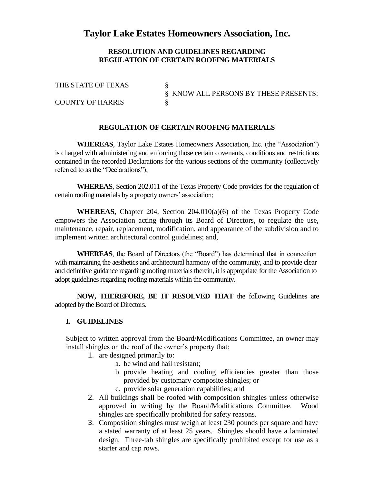## **Taylor Lake Estates Homeowners Association, Inc.**

## **RESOLUTION AND GUIDELINES REGARDING REGULATION OF CERTAIN ROOFING MATERIALS**

THE STATE OF TEXAS § KNOW ALL PERSONS BY THESE PRESENTS: **COUNTY OF HARRIS** 

**REGULATION OF CERTAIN ROOFING MATERIALS**

**WHEREAS**, Taylor Lake Estates Homeowners Association, Inc. (the "Association") is charged with administering and enforcing those certain covenants, conditions and restrictions contained in the recorded Declarations for the various sections of the community (collectively referred to as the "Declarations");

**WHEREAS**, Section 202.011 of the Texas Property Code provides for the regulation of certain roofing materials by a property owners' association;

**WHEREAS,** Chapter 204, Section 204.010(a)(6) of the Texas Property Code empowers the Association acting through its Board of Directors, to regulate the use, maintenance, repair, replacement, modification, and appearance of the subdivision and to implement written architectural control guidelines; and,

**WHEREAS**, the Board of Directors (the "Board") has determined that in connection with maintaining the aesthetics and architectural harmony of the community, and to provide clear and definitive guidance regarding roofing materials therein, it is appropriate for the Association to adopt guidelines regarding roofing materials within the community.

**NOW, THEREFORE, BE IT RESOLVED THAT** the following Guidelines are adopted by the Board of Directors.

## **I. GUIDELINES**

Subject to written approval from the Board/Modifications Committee, an owner may install shingles on the roof of the owner's property that:

- 1. are designed primarily to:
	- a. be wind and hail resistant;
	- b. provide heating and cooling efficiencies greater than those provided by customary composite shingles; or
	- c. provide solar generation capabilities; and
- 2. All buildings shall be roofed with composition shingles unless otherwise approved in writing by the Board/Modifications Committee. Wood shingles are specifically prohibited for safety reasons.
- 3. Composition shingles must weigh at least 230 pounds per square and have a stated warranty of at least 25 years. Shingles should have a laminated design. Three-tab shingles are specifically prohibited except for use as a starter and cap rows.